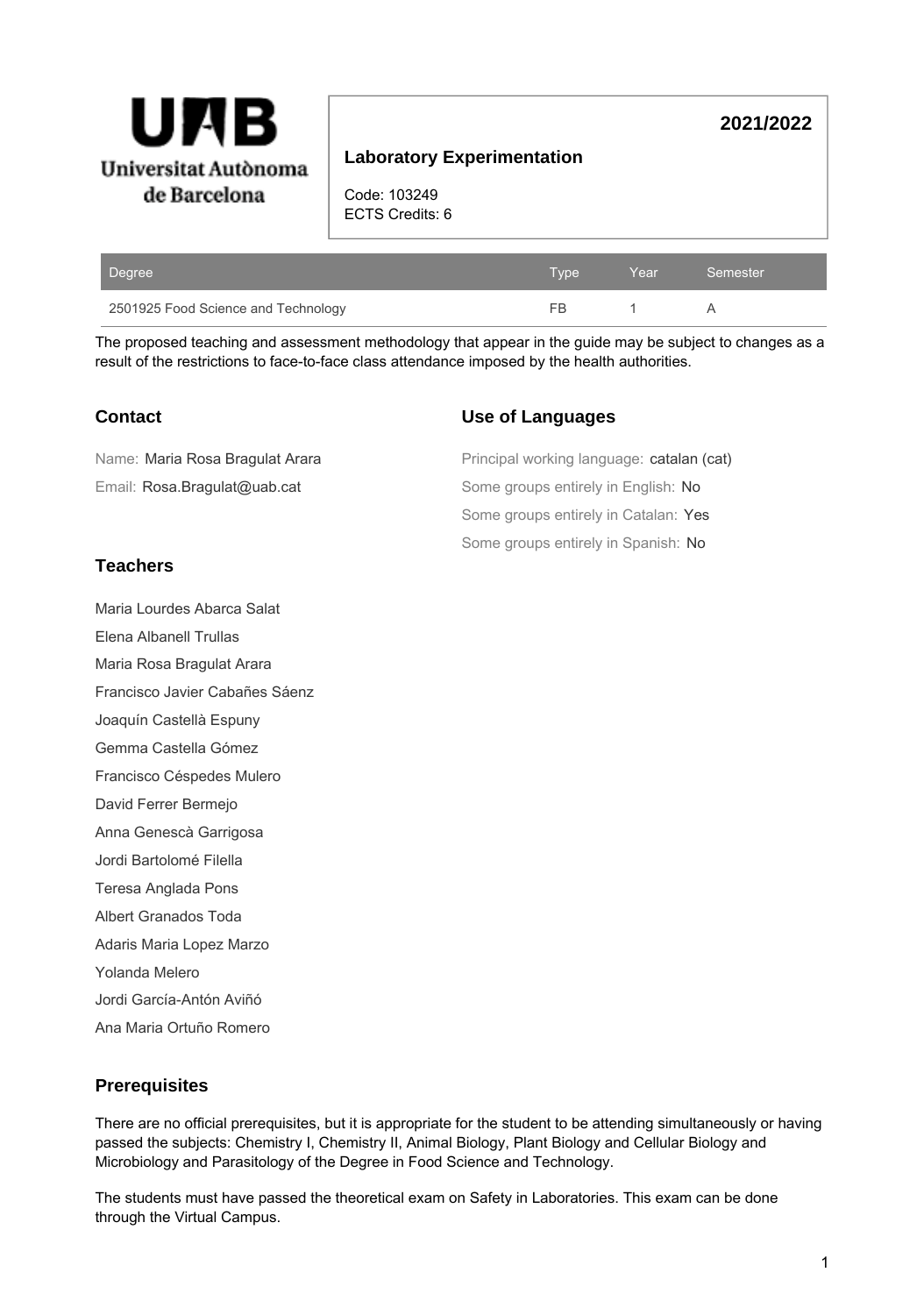

# **2021/2022**

# **Laboratory Experimentation**

Code: 103249 ECTS Credits: 6

| Degree                              | Tvpe | Year | Semester |
|-------------------------------------|------|------|----------|
| 2501925 Food Science and Technology | -FB. |      |          |

The proposed teaching and assessment methodology that appear in the guide may be subject to changes as a result of the restrictions to face-to-face class attendance imposed by the health authorities.

## **Contact**

## **Use of Languages**

Some groups entirely in Spanish: No Some groups entirely in Catalan: Yes Some groups entirely in English: No Principal working language: catalan (cat) Email: Rosa.Bragulat@uab.cat Name: Maria Rosa Bragulat Arara

# **Teachers**

Maria Lourdes Abarca Salat

Elena Albanell Trullas

Maria Rosa Bragulat Arara

Francisco Javier Cabañes Sáenz

Joaquín Castellà Espuny

Gemma Castella Gómez

Francisco Céspedes Mulero

David Ferrer Bermejo

Anna Genescà Garrigosa

Jordi Bartolomé Filella

Teresa Anglada Pons

Albert Granados Toda

Adaris Maria Lopez Marzo

Yolanda Melero

Jordi García-Antón Aviñó

Ana Maria Ortuño Romero

# **Prerequisites**

There are no official prerequisites, but it is appropriate for the student to be attending simultaneously or having passed the subjects: Chemistry I, Chemistry II, Animal Biology, Plant Biology and Cellular Biology and Microbiology and Parasitology of the Degree in Food Science and Technology.

The students must have passed the theoretical exam on Safety in Laboratories. This exam can be done through the Virtual Campus.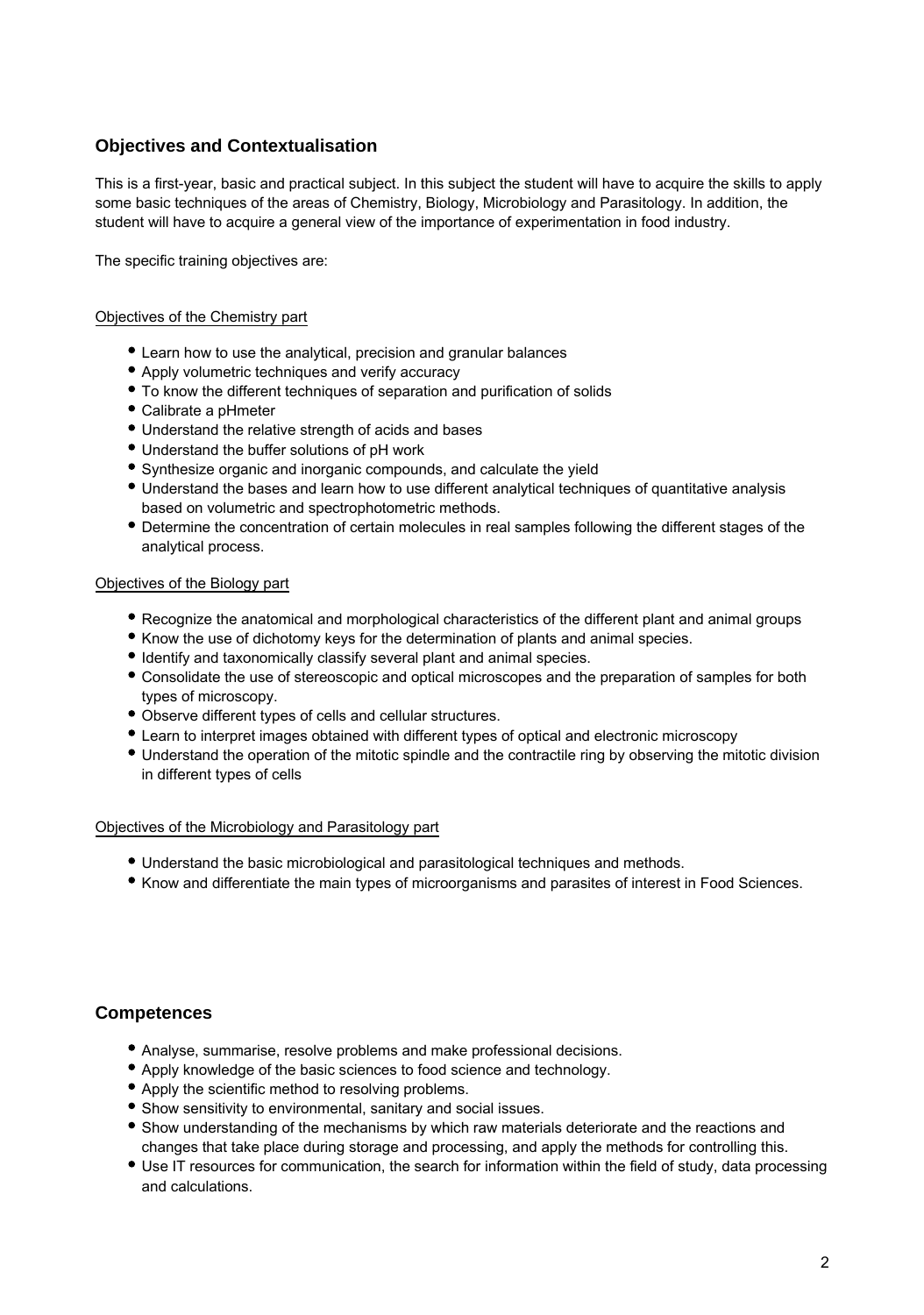# **Objectives and Contextualisation**

This is a first-year, basic and practical subject. In this subject the student will have to acquire the skills to apply some basic techniques of the areas of Chemistry, Biology, Microbiology and Parasitology. In addition, the student will have to acquire a general view of the importance of experimentation in food industry.

The specific training objectives are:

#### Objectives of the Chemistry part

- Learn how to use the analytical, precision and granular balances
- Apply volumetric techniques and verify accuracy
- To know the different techniques of separation and purification of solids
- Calibrate a pHmeter
- Understand the relative strength of acids and bases
- Understand the buffer solutions of pH work
- Synthesize organic and inorganic compounds, and calculate the yield
- Understand the bases and learn how to use different analytical techniques of quantitative analysis based on volumetric and spectrophotometric methods.
- Determine the concentration of certain molecules in real samples following the different stages of the analytical process.

### Objectives of the Biology part

- Recognize the anatomical and morphological characteristics of the different plant and animal groups
- Know the use of dichotomy keys for the determination of plants and animal species.
- Identify and taxonomically classify several plant and animal species.
- Consolidate the use of stereoscopic and optical microscopes and the preparation of samples for both types of microscopy.
- Observe different types of cells and cellular structures.
- Learn to interpret images obtained with different types of optical and electronic microscopy
- Understand the operation of the mitotic spindle and the contractile ring by observing the mitotic division in different types of cells

#### Objectives of the Microbiology and Parasitology part

- Understand the basic microbiological and parasitological techniques and methods.
- Know and differentiate the main types of microorganisms and parasites of interest in Food Sciences.

## **Competences**

- Analyse, summarise, resolve problems and make professional decisions.
- Apply knowledge of the basic sciences to food science and technology.
- Apply the scientific method to resolving problems.
- Show sensitivity to environmental, sanitary and social issues.
- Show understanding of the mechanisms by which raw materials deteriorate and the reactions and changes that take place during storage and processing, and apply the methods for controlling this.
- Use IT resources for communication, the search for information within the field of study, data processing and calculations.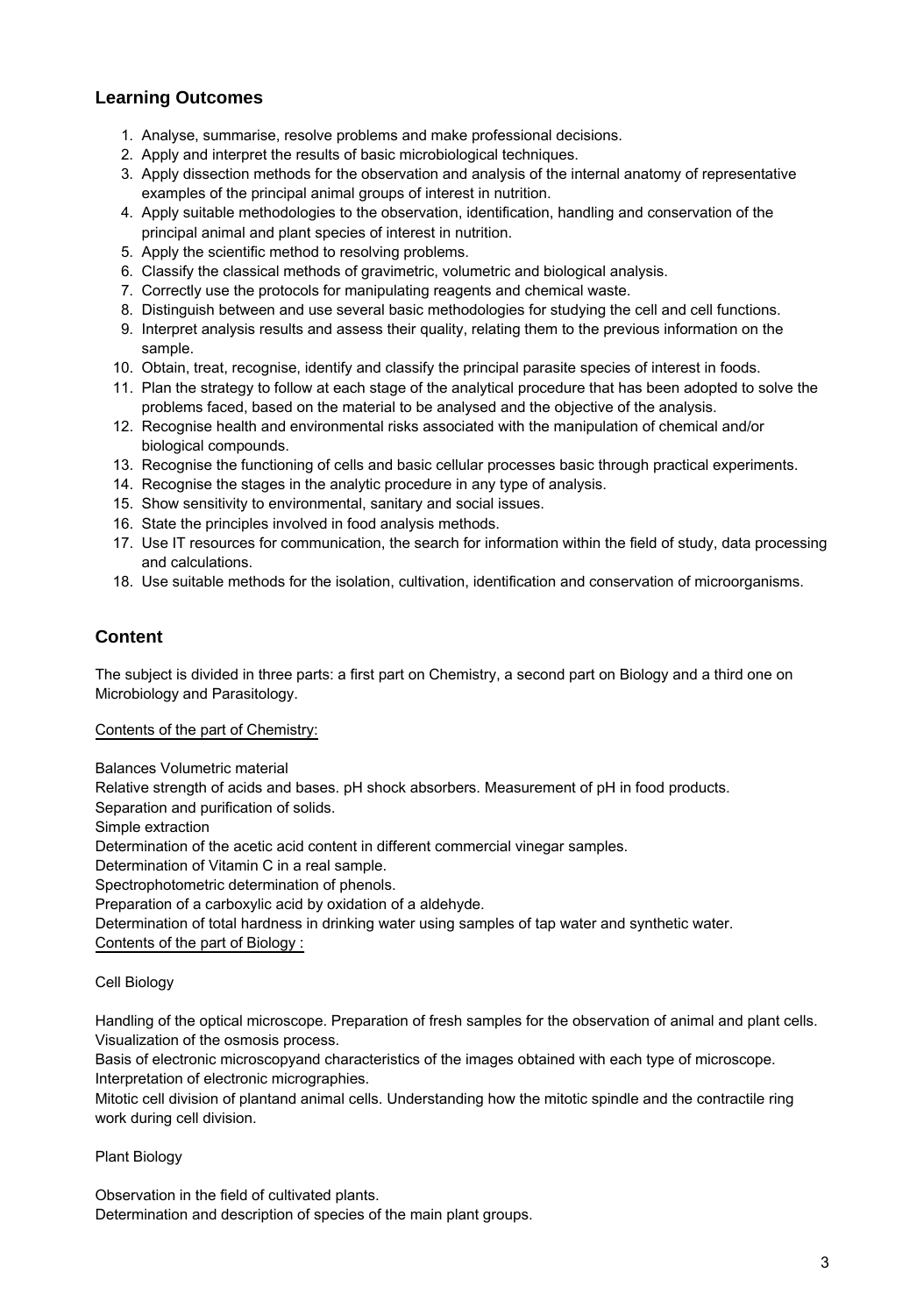# **Learning Outcomes**

- 1. Analyse, summarise, resolve problems and make professional decisions.
- 2. Apply and interpret the results of basic microbiological techniques.
- 3. Apply dissection methods for the observation and analysis of the internal anatomy of representative examples of the principal animal groups of interest in nutrition.
- 4. Apply suitable methodologies to the observation, identification, handling and conservation of the principal animal and plant species of interest in nutrition.
- 5. Apply the scientific method to resolving problems.
- 6. Classify the classical methods of gravimetric, volumetric and biological analysis.
- 7. Correctly use the protocols for manipulating reagents and chemical waste.
- 8. Distinguish between and use several basic methodologies for studying the cell and cell functions.
- 9. Interpret analysis results and assess their quality, relating them to the previous information on the sample.
- 10. Obtain, treat, recognise, identify and classify the principal parasite species of interest in foods.
- 11. Plan the strategy to follow at each stage of the analytical procedure that has been adopted to solve the problems faced, based on the material to be analysed and the objective of the analysis.
- 12. Recognise health and environmental risks associated with the manipulation of chemical and/or biological compounds.
- 13. Recognise the functioning of cells and basic cellular processes basic through practical experiments.
- 14. Recognise the stages in the analytic procedure in any type of analysis.
- 15. Show sensitivity to environmental, sanitary and social issues.
- 16. State the principles involved in food analysis methods.
- 17. Use IT resources for communication, the search for information within the field of study, data processing and calculations.
- 18. Use suitable methods for the isolation, cultivation, identification and conservation of microorganisms.

## **Content**

The subject is divided in three parts: a first part on Chemistry, a second part on Biology and a third one on Microbiology and Parasitology.

### Contents of the part of Chemistry:

Balances Volumetric material

Relative strength of acids and bases. pH shock absorbers. Measurement of pH in food products.

Separation and purification of solids.

Simple extraction

Determination of the acetic acid content in different commercial vinegar samples.

Determination of Vitamin C in a real sample.

Spectrophotometric determination of phenols.

Preparation of a carboxylic acid by oxidation of a aldehyde.

Determination of total hardness in drinking water using samples of tap water and synthetic water.

Contents of the part of Biology :

### Cell Biology

Handling of the optical microscope. Preparation of fresh samples for the observation of animal and plant cells. Visualization of the osmosis process.

Basis of electronic microscopyand characteristics of the images obtained with each type of microscope. Interpretation of electronic micrographies.

Mitotic cell division of plantand animal cells. Understanding how the mitotic spindle and the contractile ring work during cell division.

### Plant Biology

Observation in the field of cultivated plants.

Determination and description of species of the main plant groups.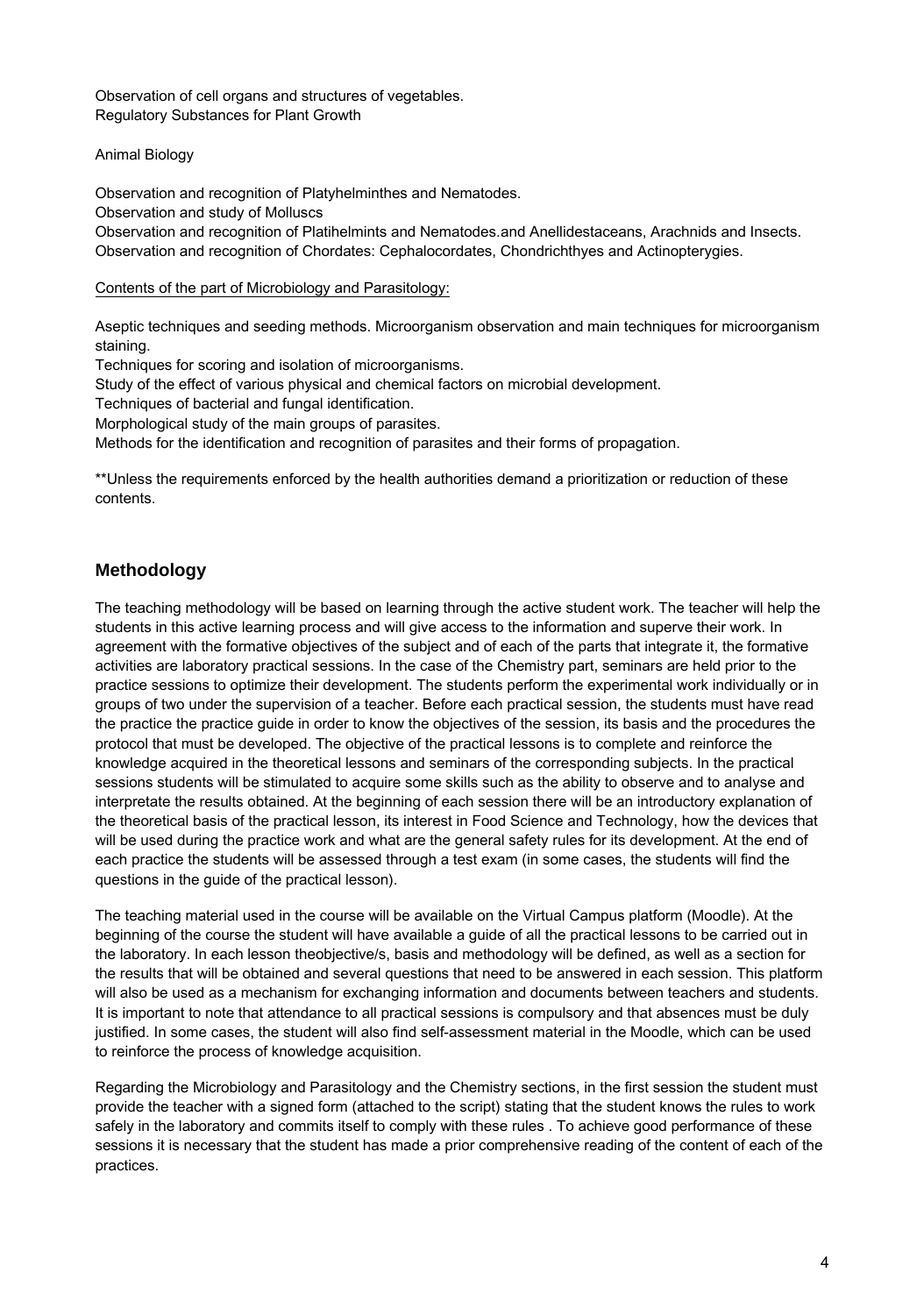Observation of cell organs and structures of vegetables. Regulatory Substances for Plant Growth

### Animal Biology

Observation and recognition of Platyhelminthes and Nematodes.

Observation and study of Molluscs

Observation and recognition of Platihelmints and Nematodes.and Anellidestaceans, Arachnids and Insects. Observation and recognition of Chordates: Cephalocordates, Chondrichthyes and Actinopterygies.

#### Contents of the part of Microbiology and Parasitology:

Aseptic techniques and seeding methods. Microorganism observation and main techniques for microorganism staining.

Techniques for scoring and isolation of microorganisms.

Study of the effect of various physical and chemical factors on microbial development.

Techniques of bacterial and fungal identification.

Morphological study of the main groups of parasites.

Methods for the identification and recognition of parasites and their forms of propagation.

\*\*Unless the requirements enforced by the health authorities demand a prioritization or reduction of these contents.

## **Methodology**

The teaching methodology will be based on learning through the active student work. The teacher will help the students in this active learning process and will give access to the information and superve their work. In agreement with the formative objectives of the subject and of each of the parts that integrate it, the formative activities are laboratory practical sessions. In the case of the Chemistry part, seminars are held prior to the practice sessions to optimize their development. The students perform the experimental work individually or in groups of two under the supervision of a teacher. Before each practical session, the students must have read the practice the practice guide in order to know the objectives of the session, its basis and the procedures the protocol that must be developed. The objective of the practical lessons is to complete and reinforce the knowledge acquired in the theoretical lessons and seminars of the corresponding subjects. In the practical sessions students will be stimulated to acquire some skills such as the ability to observe and to analyse and interpretate the results obtained. At the beginning of each session there will be an introductory explanation of the theoretical basis of the practical lesson, its interest in Food Science and Technology, how the devices that will be used during the practice work and what are the general safety rules for its development. At the end of each practice the students will be assessed through a test exam (in some cases, the students will find the questions in the guide of the practical lesson).

The teaching material used in the course will be available on the Virtual Campus platform (Moodle). At the beginning of the course the student will have available a guide of all the practical lessons to be carried out in the laboratory. In each lesson theobjective/s, basis and methodology will be defined, as well as a section for the results that will be obtained and several questions that need to be answered in each session. This platform will also be used as a mechanism for exchanging information and documents between teachers and students. It is important to note that attendance to all practical sessions is compulsory and that absences must be duly justified. In some cases, the student will also find self-assessment material in the Moodle, which can be used to reinforce the process of knowledge acquisition.

Regarding the Microbiology and Parasitology and the Chemistry sections, in the first session the student must provide the teacher with a signed form (attached to the script) stating that the student knows the rules to work safely in the laboratory and commits itself to comply with these rules . To achieve good performance of these sessions it is necessary that the student has made a prior comprehensive reading of the content of each of the practices.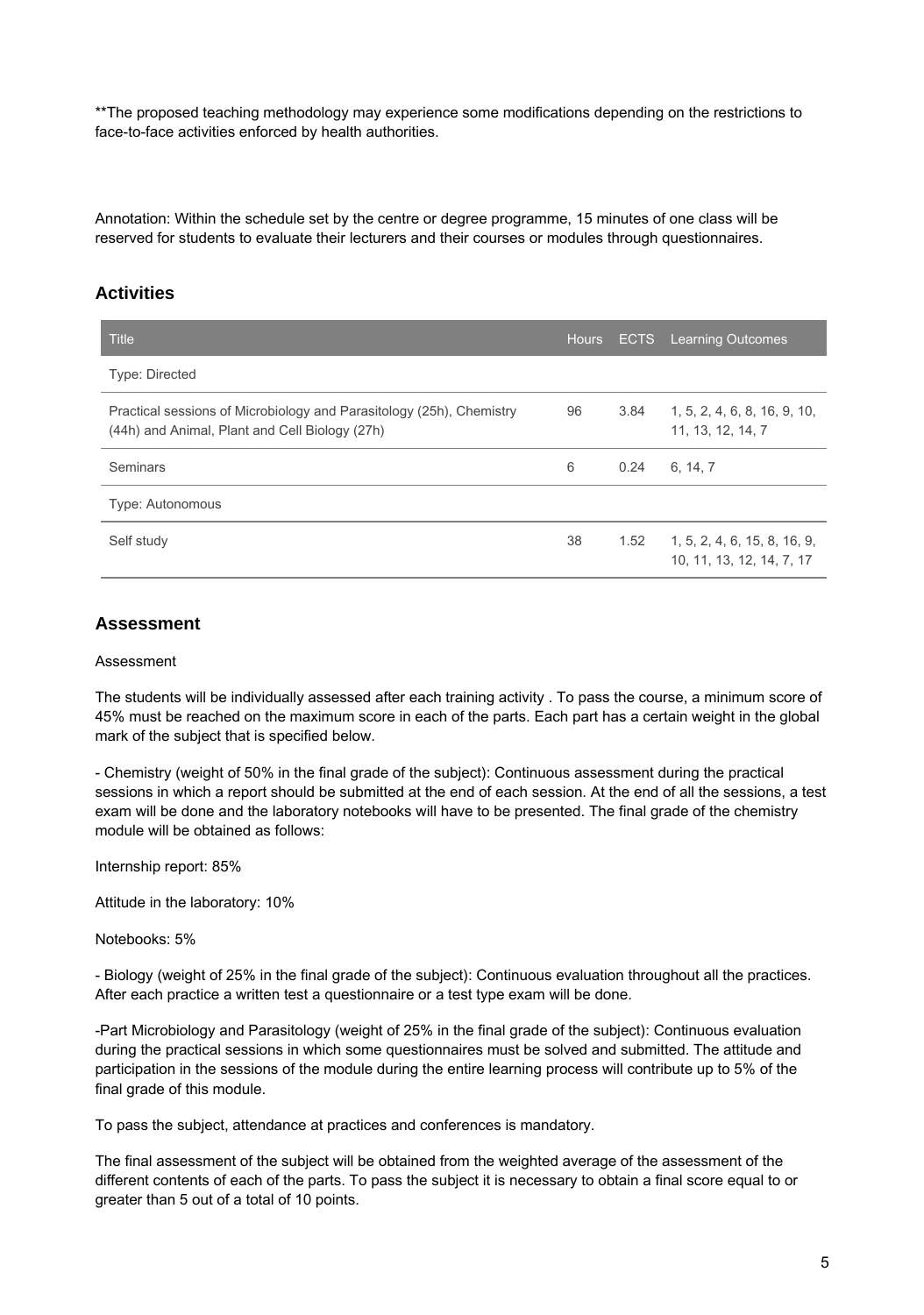\*\*The proposed teaching methodology may experience some modifications depending on the restrictions to face-to-face activities enforced by health authorities.

Annotation: Within the schedule set by the centre or degree programme, 15 minutes of one class will be reserved for students to evaluate their lecturers and their courses or modules through questionnaires.

### **Activities**

| Title                                                                                                                  | <b>Hours</b> |      | <b>ECTS</b> Learning Outcomes                             |
|------------------------------------------------------------------------------------------------------------------------|--------------|------|-----------------------------------------------------------|
| <b>Type: Directed</b>                                                                                                  |              |      |                                                           |
| Practical sessions of Microbiology and Parasitology (25h), Chemistry<br>(44h) and Animal, Plant and Cell Biology (27h) | 96           | 3.84 | 1, 5, 2, 4, 6, 8, 16, 9, 10,<br>11, 13, 12, 14, 7         |
| <b>Seminars</b>                                                                                                        | 6            | 0.24 | 6, 14, 7                                                  |
| <b>Type: Autonomous</b>                                                                                                |              |      |                                                           |
| Self study                                                                                                             | 38           | 1.52 | 1, 5, 2, 4, 6, 15, 8, 16, 9,<br>10, 11, 13, 12, 14, 7, 17 |

### **Assessment**

#### Assessment

The students will be individually assessed after each training activity . To pass the course, a minimum score of 45% must be reached on the maximum score in each of the parts. Each part has a certain weight in the global mark of the subject that is specified below.

- Chemistry (weight of 50% in the final grade of the subject): Continuous assessment during the practical sessions in which a report should be submitted at the end of each session. At the end of all the sessions, a test exam will be done and the laboratory notebooks will have to be presented. The final grade of the chemistry module will be obtained as follows:

Internship report: 85%

Attitude in the laboratory: 10%

Notebooks: 5%

- Biology (weight of 25% in the final grade of the subject): Continuous evaluation throughout all the practices. After each practice a written test a questionnaire or a test type exam will be done.

-Part Microbiology and Parasitology (weight of 25% in the final grade of the subject): Continuous evaluation during the practical sessions in which some questionnaires must be solved and submitted. The attitude and participation in the sessions of the module during the entire learning process will contribute up to 5% of the final grade of this module.

To pass the subject, attendance at practices and conferences is mandatory.

The final assessment of the subject will be obtained from the weighted average of the assessment of the different contents of each of the parts. To pass the subject it is necessary to obtain a final score equal to or greater than 5 out of a total of 10 points.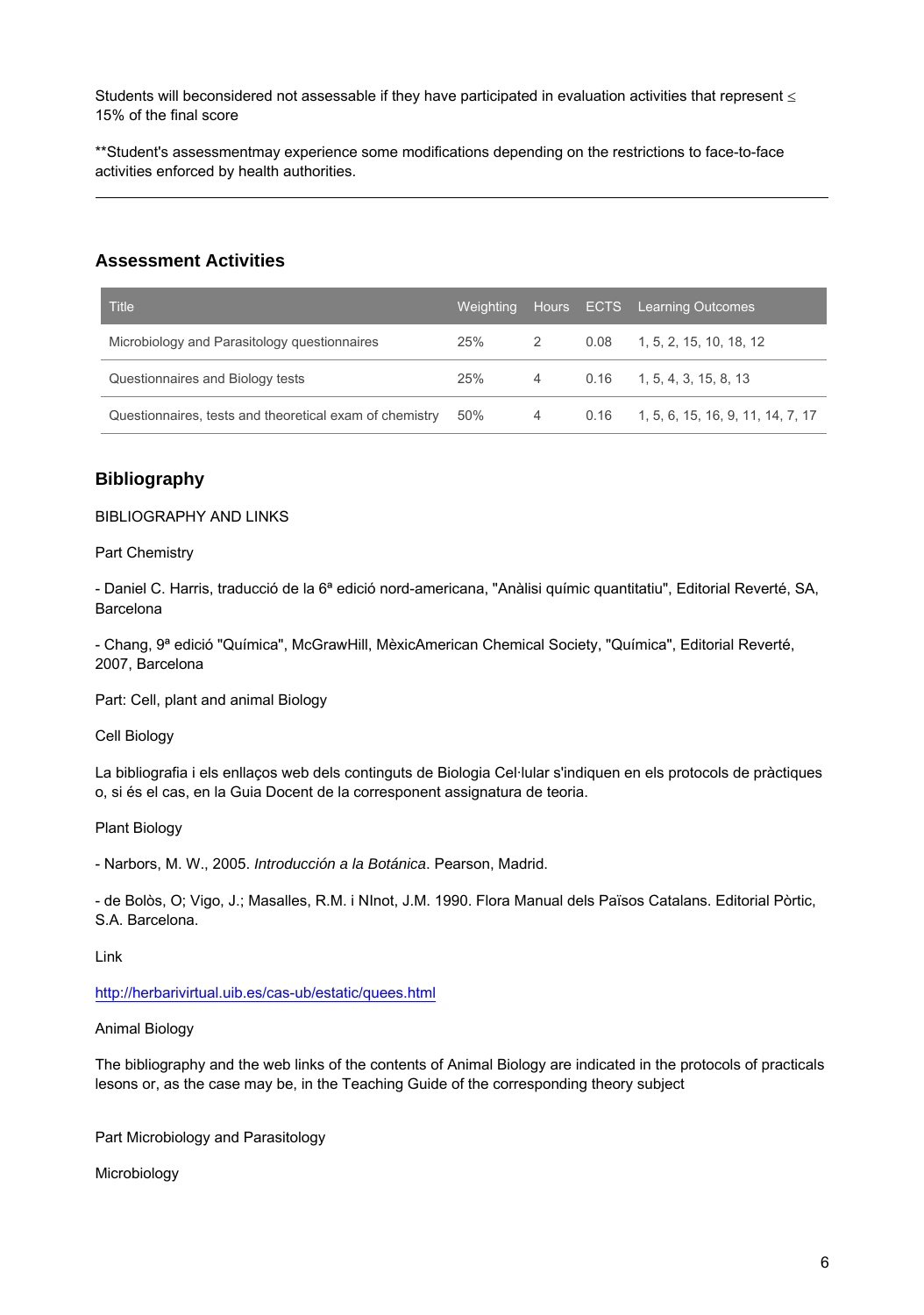Students will beconsidered not assessable if they have participated in evaluation activities that represent  $\leq$ 15% of the final score

\*\*Student's assessmentmay experience some modifications depending on the restrictions to face-to-face activities enforced by health authorities.

## **Assessment Activities**

| Title                                                   | Weighting |           | Hours ECTS Learning Outcomes             |
|---------------------------------------------------------|-----------|-----------|------------------------------------------|
| Microbiology and Parasitology questionnaires            | 25%       | 2         | $0.08$ 1, 5, 2, 15, 10, 18, 12           |
| Questionnaires and Biology tests                        | 25%       | $4 \quad$ | $0.16$ 1, 5, 4, 3, 15, 8, 13             |
| Questionnaires, tests and theoretical exam of chemistry | 50%       | $4 \quad$ | $0.16$ 1, 5, 6, 15, 16, 9, 11, 14, 7, 17 |

## **Bibliography**

BIBLIOGRAPHY AND LINKS

Part Chemistry

- Daniel C. Harris, traducció de la 6ª edició nord-americana, "Anàlisi químic quantitatiu", Editorial Reverté, SA, Barcelona

- Chang, 9ª edició "Química", McGrawHill, MèxicAmerican Chemical Society, "Química", Editorial Reverté, 2007, Barcelona

Part: Cell, plant and animal Biology

Cell Biology

La bibliografia i els enllaços web dels continguts de Biologia Cel·lular s'indiquen en els protocols de pràctiques o, si és el cas, en la Guia Docent de la corresponent assignatura de teoria.

Plant Biology

- Narbors, M. W., 2005. Introducción a la Botánica. Pearson, Madrid.

- de Bolòs, O; Vigo, J.; Masalles, R.M. i NInot, J.M. 1990. Flora Manual dels Països Catalans. Editorial Pòrtic, S.A. Barcelona.

Link

<http://herbarivirtual.uib.es/cas-ub/estatic/quees.html>

#### Animal Biology

The bibliography and the web links of the contents of Animal Biology are indicated in the protocols of practicals lesons or, as the case may be, in the Teaching Guide of the corresponding theory subject

Part Microbiology and Parasitology

Microbiology